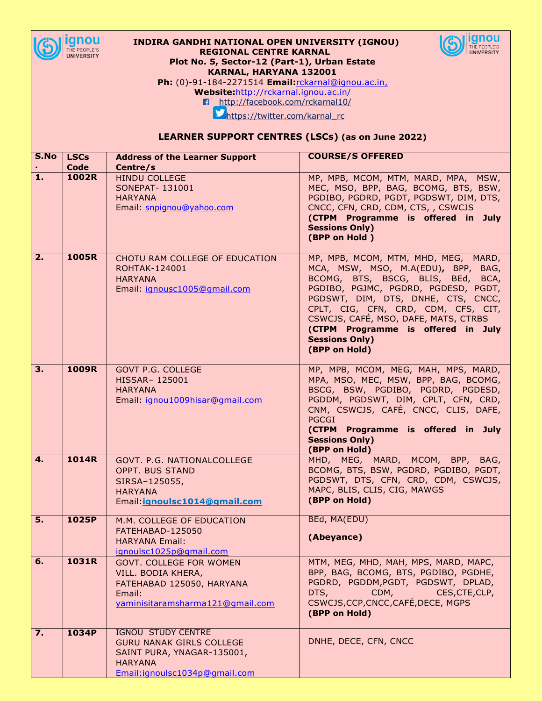

## **INDIRA GANDHI NATIONAL OPEN UNIVERSITY (IGNOU) REGIONAL CENTRE KARNAL Plot No. 5, Sector-12 (Part-1), Urban Estate KARNAL, HARYANA 132001**



**Ph:** (0)-91-184-2271514 **Email:**[rckarnal@ignou.ac.in,](mailto:rckarnal@ignou.ac.in)

**Website:**<http://rckarnal.ignou.ac.in/>

<http://facebook.com/rckarnal10/>

[https://twitter.com/karnal\\_rc](https://twitter.com/karnal_rc)

## **LEARNER SUPPORT CENTRES (LSCs) (as on June 2022)**

| S.No         | <b>LSCs</b> | <b>Address of the Learner Support</b>                                                                                                                      | <b>COURSE/S OFFERED</b>                                                                                                                                                                                                                                                                                                                                    |
|--------------|-------------|------------------------------------------------------------------------------------------------------------------------------------------------------------|------------------------------------------------------------------------------------------------------------------------------------------------------------------------------------------------------------------------------------------------------------------------------------------------------------------------------------------------------------|
|              | Code        | Centre/s                                                                                                                                                   |                                                                                                                                                                                                                                                                                                                                                            |
| 1.           | 1002R       | <b>HINDU COLLEGE</b><br>SONEPAT- 131001<br><b>HARYANA</b><br>Email: snpignou@yahoo.com                                                                     | MP, MPB, MCOM, MTM, MARD, MPA, MSW,<br>MEC, MSO, BPP, BAG, BCOMG, BTS, BSW,<br>PGDIBO, PGDRD, PGDT, PGDSWT, DIM, DTS,<br>CNCC, CFN, CRD, CDM, CTS, , CSWCJS<br>(CTPM Programme is offered in July<br><b>Sessions Only)</b><br>(BPP on Hold)                                                                                                                |
| 2.           | 1005R       | CHOTU RAM COLLEGE OF EDUCATION<br><b>ROHTAK-124001</b><br><b>HARYANA</b><br>Email: ignousc1005@gmail.com                                                   | MP, MPB, MCOM, MTM, MHD, MEG, MARD,<br>MCA, MSW, MSO, M.A(EDU), BPP, BAG,<br>BCOMG, BTS, BSCG, BLIS, BEd, BCA,<br>PGDIBO, PGJMC, PGDRD, PGDESD, PGDT,<br>PGDSWT, DIM, DTS, DNHE, CTS, CNCC,<br>CPLT, CIG, CFN, CRD, CDM, CFS, CIT,<br>CSWCJS, CAFÉ, MSO, DAFE, MATS, CTRBS<br>(CTPM Programme is offered in July<br><b>Sessions Only)</b><br>(BPP on Hold) |
| 3.           | 1009R       | <b>GOVT P.G. COLLEGE</b><br>HISSAR- 125001<br><b>HARYANA</b><br>Email: ignou1009hisar@gmail.com                                                            | MP, MPB, MCOM, MEG, MAH, MPS, MARD,<br>MPA, MSO, MEC, MSW, BPP, BAG, BCOMG,<br>BSCG, BSW, PGDIBO, PGDRD, PGDESD,<br>PGDDM, PGDSWT, DIM, CPLT, CFN, CRD,<br>CNM, CSWCJS, CAFÉ, CNCC, CLIS, DAFE,<br><b>PGCGI</b><br>(CTPM Programme is offered in July<br><b>Sessions Only)</b><br>(BPP on Hold)                                                            |
| 4.           | 1014R       | GOVT. P.G. NATIONALCOLLEGE<br><b>OPPT. BUS STAND</b><br>SIRSA-125055,<br><b>HARYANA</b><br>Email: ignoulsc1014@gmail.com                                   | MHD, MEG, MARD, MCOM, BPP, BAG,<br>BCOMG, BTS, BSW, PGDRD, PGDIBO, PGDT,<br>PGDSWT, DTS, CFN, CRD, CDM, CSWCJS,<br>MAPC, BLIS, CLIS, CIG, MAWGS<br>(BPP on Hold)                                                                                                                                                                                           |
| 5.           | 1025P       | M.M. COLLEGE OF EDUCATION<br>FATEHABAD-125050<br><b>HARYANA Email:</b>                                                                                     | BEd, MA(EDU)<br>(Abeyance)                                                                                                                                                                                                                                                                                                                                 |
| 6.           | 1031R       | ignoulsc1025p@gmail.com<br><b>GOVT. COLLEGE FOR WOMEN</b><br>VILL. BODIA KHERA,<br>FATEHABAD 125050, HARYANA<br>Email:<br>yaminisitaramsharma121@qmail.com | MTM, MEG, MHD, MAH, MPS, MARD, MAPC,<br>BPP, BAG, BCOMG, BTS, PGDIBO, PGDHE,<br>PGDRD, PGDDM, PGDT, PGDSWT, DPLAD,<br>DTS,<br>CDM,<br>CES, CTE, CLP,<br>CSWCJS, CCP, CNCC, CAFÉ, DECE, MGPS<br>(BPP on Hold)                                                                                                                                               |
| $Z_{\rm{L}}$ | 1034P       | <b>IGNOU STUDY CENTRE</b><br><b>GURU NANAK GIRLS COLLEGE</b><br>SAINT PURA, YNAGAR-135001,<br><b>HARYANA</b><br>Email:ignoulsc1034p@gmail.com              | DNHE, DECE, CFN, CNCC                                                                                                                                                                                                                                                                                                                                      |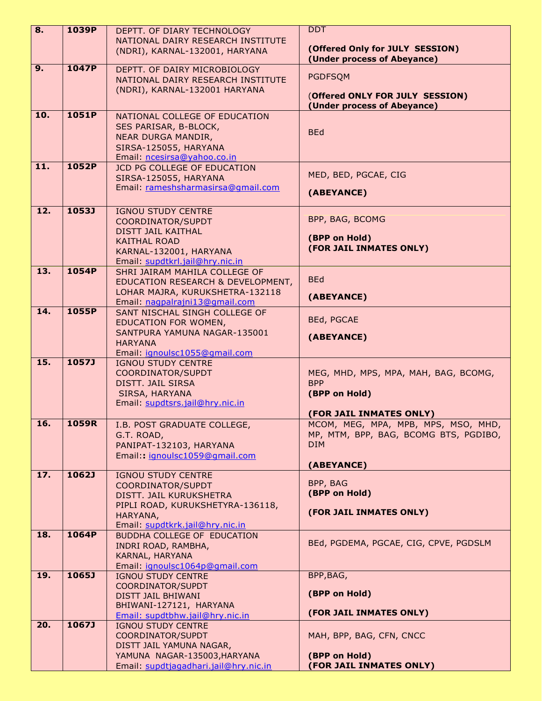| $\overline{\mathbf{8}}$ . | 1039P        | DEPTT. OF DIARY TECHNOLOGY                                         | <b>DDT</b>                                                     |
|---------------------------|--------------|--------------------------------------------------------------------|----------------------------------------------------------------|
|                           |              | NATIONAL DAIRY RESEARCH INSTITUTE                                  |                                                                |
|                           |              | (NDRI), KARNAL-132001, HARYANA                                     | (Offered Only for JULY SESSION)<br>(Under process of Abeyance) |
| 9.                        | 1047P        | DEPTT. OF DAIRY MICROBIOLOGY                                       | <b>PGDFSQM</b>                                                 |
|                           |              | NATIONAL DAIRY RESEARCH INSTITUTE<br>(NDRI), KARNAL-132001 HARYANA |                                                                |
|                           |              |                                                                    | (Offered ONLY FOR JULY SESSION)<br>(Under process of Abeyance) |
| 10.                       | 1051P        | NATIONAL COLLEGE OF EDUCATION                                      |                                                                |
|                           |              | SES PARISAR, B-BLOCK,<br>NEAR DURGA MANDIR,                        | <b>BEd</b>                                                     |
|                           |              | SIRSA-125055, HARYANA                                              |                                                                |
|                           |              | Email: ncesirsa@yahoo.co.in                                        |                                                                |
| 11.                       | 1052P        | JCD PG COLLEGE OF EDUCATION                                        | MED, BED, PGCAE, CIG                                           |
|                           |              | SIRSA-125055, HARYANA<br>Email: rameshsharmasirsa@gmail.com        |                                                                |
|                           |              |                                                                    | (ABEYANCE)                                                     |
| $\overline{12}$ .         | 1053J        | <b>IGNOU STUDY CENTRE</b>                                          | BPP, BAG, BCOMG                                                |
|                           |              | COORDINATOR/SUPDT<br><b>DISTT JAIL KAITHAL</b>                     |                                                                |
|                           |              | <b>KAITHAL ROAD</b>                                                | (BPP on Hold)                                                  |
|                           |              | KARNAL-132001, HARYANA<br>Email: supdtkrl.jail@hry.nic.in          | (FOR JAIL INMATES ONLY)                                        |
| 13.                       | 1054P        | SHRI JAIRAM MAHILA COLLEGE OF                                      |                                                                |
|                           |              | EDUCATION RESEARCH & DEVELOPMENT,                                  | <b>BEd</b>                                                     |
|                           |              | LOHAR MAJRA, KURUKSHETRA-132118<br>Email: nagpalrajni13@gmail.com  | (ABEYANCE)                                                     |
| 14.                       | 1055P        | SANT NISCHAL SINGH COLLEGE OF                                      |                                                                |
|                           |              | EDUCATION FOR WOMEN,                                               | <b>BEd, PGCAE</b>                                              |
|                           |              | SANTPURA YAMUNA NAGAR-135001<br><b>HARYANA</b>                     | (ABEYANCE)                                                     |
|                           |              | Email: ignoulsc1055@gmail.com                                      |                                                                |
| 15.                       | 1057J        | <b>IGNOU STUDY CENTRE</b>                                          |                                                                |
|                           |              | COORDINATOR/SUPDT<br>DISTT. JAIL SIRSA                             | MEG, MHD, MPS, MPA, MAH, BAG, BCOMG,<br><b>BPP</b>             |
|                           |              | SIRSA, HARYANA                                                     | (BPP on Hold)                                                  |
|                           |              | Email: supdtsrs.jail@hry.nic.in                                    |                                                                |
| 16.                       | 1059R        | I.B. POST GRADUATE COLLEGE,                                        | (FOR JAIL INMATES ONLY)<br>MCOM, MEG, MPA, MPB, MPS, MSO, MHD, |
|                           |              | G.T. ROAD,                                                         | MP, MTM, BPP, BAG, BCOMG BTS, PGDIBO,                          |
|                           |              | PANIPAT-132103, HARYANA                                            | <b>DIM</b>                                                     |
|                           |              | Email:: ignoulsc1059@gmail.com                                     | (ABEYANCE)                                                     |
| 17.                       | <b>1062J</b> | <b>IGNOU STUDY CENTRE</b>                                          |                                                                |
|                           |              | COORDINATOR/SUPDT                                                  | BPP, BAG                                                       |
|                           |              | DISTT. JAIL KURUKSHETRA                                            | (BPP on Hold)                                                  |
|                           |              | PIPLI ROAD, KURUKSHETYRA-136118,<br>HARYANA,                       | (FOR JAIL INMATES ONLY)                                        |
|                           |              | Email: supdtkrk.jail@hry.nic.in                                    |                                                                |
| 18.                       | 1064P        | BUDDHA COLLEGE OF EDUCATION                                        | BEd, PGDEMA, PGCAE, CIG, CPVE, PGDSLM                          |
|                           |              | INDRI ROAD, RAMBHA,<br>KARNAL, HARYANA                             |                                                                |
|                           |              | Email: jgnoulsc1064p@gmail.com                                     |                                                                |
| 19.                       | 1065J        | <b>IGNOU STUDY CENTRE</b>                                          | BPP, BAG,                                                      |
|                           |              | COORDINATOR/SUPDT<br><b>DISTT JAIL BHIWANI</b>                     | (BPP on Hold)                                                  |
|                           |              | BHIWANI-127121, HARYANA                                            |                                                                |
|                           |              | Email: supdtbhw.jail@hry.nic.in                                    | (FOR JAIL INMATES ONLY)                                        |
| 20.                       | 1067J        | <b>IGNOU STUDY CENTRE</b>                                          |                                                                |
|                           |              | COORDINATOR/SUPDT<br>DISTT JAIL YAMUNA NAGAR,                      | MAH, BPP, BAG, CFN, CNCC                                       |
|                           |              | YAMUNA NAGAR-135003, HARYANA                                       | (BPP on Hold)                                                  |
|                           |              | Email: supdtjagadhari.jail@hry.nic.in                              | (FOR JAIL INMATES ONLY)                                        |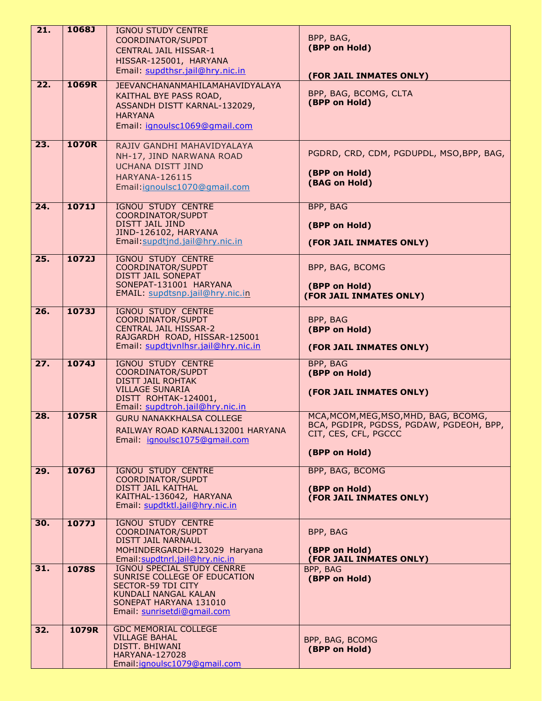| 21.               | 1068J        | <b>IGNOU STUDY CENTRE</b>                                            |                                                                 |
|-------------------|--------------|----------------------------------------------------------------------|-----------------------------------------------------------------|
|                   |              | COORDINATOR/SUPDT                                                    | BPP, BAG,                                                       |
|                   |              | <b>CENTRAL JAIL HISSAR-1</b>                                         | (BPP on Hold)                                                   |
|                   |              | HISSAR-125001, HARYANA                                               |                                                                 |
|                   |              | Email: supdthsr.jail@hry.nic.in                                      | (FOR JAIL INMATES ONLY)                                         |
| 22.               | 1069R        | <b>JEEVANCHANANMAHILAMAHAVIDYALAYA</b>                               |                                                                 |
|                   |              | KAITHAL BYE PASS ROAD,                                               | BPP, BAG, BCOMG, CLTA                                           |
|                   |              | ASSANDH DISTT KARNAL-132029,                                         | (BPP on Hold)                                                   |
|                   |              | <b>HARYANA</b>                                                       |                                                                 |
|                   |              | Email: jgnoulsc1069@gmail.com                                        |                                                                 |
|                   |              |                                                                      |                                                                 |
| $\overline{23}$ . | 1070R        | RAJIV GANDHI MAHAVIDYALAYA                                           |                                                                 |
|                   |              | NH-17, JIND NARWANA ROAD                                             | PGDRD, CRD, CDM, PGDUPDL, MSO, BPP, BAG,                        |
|                   |              | <b>UCHANA DISTT JIND</b>                                             | (BPP on Hold)                                                   |
|                   |              | <b>HARYANA-126115</b>                                                | (BAG on Hold)                                                   |
|                   |              | Email: ignoulsc1070@gmail.com                                        |                                                                 |
| 24.               | 1071J        | <b>IGNOU STUDY CENTRE</b>                                            | BPP, BAG                                                        |
|                   |              | COORDINATOR/SUPDT                                                    |                                                                 |
|                   |              | <b>DISTT JAIL JIND</b>                                               | (BPP on Hold)                                                   |
|                   |              | JIND-126102, HARYANA                                                 |                                                                 |
|                   |              | Email: supdtjnd.jail@hry.nic.in                                      | (FOR JAIL INMATES ONLY)                                         |
| 25.               | 1072J        | <b>IGNOU STUDY CENTRE</b>                                            |                                                                 |
|                   |              | COORDINATOR/SUPDT                                                    | BPP, BAG, BCOMG                                                 |
|                   |              | DISTT JAIL SONEPAT                                                   |                                                                 |
|                   |              | SONEPAT-131001 HARYANA                                               | (BPP on Hold)                                                   |
|                   |              | EMAIL: supdtsnp.jail@hry.nic.in                                      | (FOR JAIL INMATES ONLY)                                         |
| 26.               | 1073J        | <b>IGNOU STUDY CENTRE</b>                                            |                                                                 |
|                   |              | COORDINATOR/SUPDT                                                    | BPP, BAG                                                        |
|                   |              | <b>CENTRAL JAIL HISSAR-2</b>                                         | (BPP on Hold)                                                   |
|                   |              | RAJGARDH ROAD, HISSAR-125001<br>Email: supdtjvnlhsr.jail@hry.nic.in  |                                                                 |
|                   |              |                                                                      | (FOR JAIL INMATES ONLY)                                         |
| $\overline{27}$ . | 1074J        | <b>IGNOU STUDY CENTRE</b>                                            | <b>BPP, BAG</b>                                                 |
|                   |              | COORDINATOR/SUPDT<br><b>DISTT JAIL ROHTAK</b>                        | (BPP on Hold)                                                   |
|                   |              | <b>VILLAGE SUNARIA</b>                                               |                                                                 |
|                   |              | DISTT ROHTAK-124001,                                                 | (FOR JAIL INMATES ONLY)                                         |
|                   |              | Email: supdtroh.jail@hry.nic.in                                      |                                                                 |
| 28.               | 1075R        | <b>GURU NANAKKHALSA COLLEGE</b>                                      | MCA, MCOM, MEG, MSO, MHD, BAG, BCOMG,                           |
|                   |              | RAILWAY ROAD KARNAL132001 HARYANA                                    | BCA, PGDIPR, PGDSS, PGDAW, PGDEOH, BPP,<br>CIT, CES, CFL, PGCCC |
|                   |              | Email: ignoulsc1075@gmail.com                                        |                                                                 |
|                   |              |                                                                      | (BPP on Hold)                                                   |
|                   |              |                                                                      |                                                                 |
| 29.               | 1076J        | <b>IGNOU STUDY CENTRE</b><br>COORDINATOR/SUPDT                       | <b>BPP, BAG, BCOMG</b>                                          |
|                   |              | DISTT JAIL KAITHAL                                                   | (BPP on Hold)                                                   |
|                   |              | KAITHAL-136042, HARYANA                                              | (FOR JAIL INMATES ONLY)                                         |
|                   |              | Email: supdtktl.jail@hry.nic.in                                      |                                                                 |
| 30.               | 1077J        | <b>IGNOU STUDY CENTRE</b>                                            |                                                                 |
|                   |              | COORDINATOR/SUPDT                                                    | BPP, BAG                                                        |
|                   |              | DISTT JAIL NARNAUL                                                   |                                                                 |
|                   |              | MOHINDERGARDH-123029 Haryana                                         | (BPP on Hold)                                                   |
|                   |              | Email: supdtnrl.jail@hry.nic.in<br><b>IGNOU SPECIAL STUDY CENRRE</b> | (FOR JAIL INMATES ONLY)                                         |
| 31.               | <b>1078S</b> | SUNRISE COLLEGE OF EDUCATION                                         | BPP, BAG<br>(BPP on Hold)                                       |
|                   |              | <b>SECTOR-59 TDI CITY</b>                                            |                                                                 |
|                   |              | KUNDALI NANGAL KALAN                                                 |                                                                 |
|                   |              | SONEPAT HARYANA 131010                                               |                                                                 |
|                   |              | Email: sunrisetdi@gmail.com                                          |                                                                 |
|                   | 1079R        | <b>GDC MEMORIAL COLLEGE</b>                                          |                                                                 |
| 32.               |              |                                                                      |                                                                 |
|                   |              | <b>VILLAGE BAHAL</b>                                                 | BPP, BAG, BCOMG                                                 |
|                   |              | DISTT. BHIWANI<br><b>HARYANA-127028</b>                              | (BPP on Hold)                                                   |